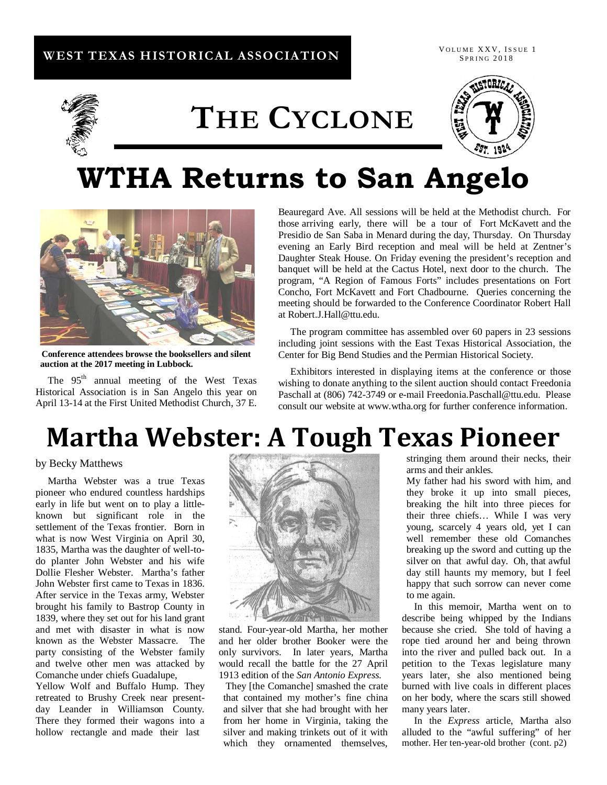## **WEST TEXAS HISTORICAL ASSOCIATION**

VOLUME XXV, ISSUE 1 **SPRING 2018** 



# **THE CYCLONE**



## **WTHA Returns to San Angelo**



**Conference attendees browse the booksellers and silent auction at the 2017 meeting in Lubbock.**

The 95<sup>th</sup> annual meeting of the West Texas Historical Association is in San Angelo this year on April 13-14 at the First United Methodist Church, 37 E.

Beauregard Ave. All sessions will be held at the Methodist church. For those arriving early, there will be a tour of Fort McKavett and the Presidio de San Saba in Menard during the day, Thursday. On Thursday evening an Early Bird reception and meal will be held at Zentner's Daughter Steak House. On Friday evening the president's reception and banquet will be held at the Cactus Hotel, next door to the church. The program, "A Region of Famous Forts" includes presentations on Fort Concho, Fort McKavett and Fort Chadbourne. Queries concerning the meeting should be forwarded to the Conference Coordinator Robert Hall at Robert.J.Hall@ttu.edu.

 The program committee has assembled over 60 papers in 23 sessions including joint sessions with the East Texas Historical Association, the Center for Big Bend Studies and the Permian Historical Society.

 Exhibitors interested in displaying items at the conference or those wishing to donate anything to the silent auction should contact Freedonia Paschall at (806) 742-3749 or e-mail Freedonia.Paschall@ttu.edu. Please consult our website at www.wtha.org for further conference information.

## **Martha Webster: A Tough Texas Pioneer**

#### by Becky Matthews

 Martha Webster was a true Texas pioneer who endured countless hardships early in life but went on to play a littleknown but significant role in the settlement of the Texas frontier. Born in what is now West Virginia on April 30, 1835, Martha was the daughter of well-todo planter John Webster and his wife Dollie Flesher Webster. Martha's father John Webster first came to Texas in 1836. After service in the Texas army, Webster brought his family to Bastrop County in 1839, where they set out for his land grant and met with disaster in what is now known as the Webster Massacre. The party consisting of the Webster family and twelve other men was attacked by Comanche under chiefs Guadalupe,

Yellow Wolf and Buffalo Hump. They retreated to Brushy Creek near presentday Leander in Williamson County. There they formed their wagons into a hollow rectangle and made their last



stand. Four-year-old Martha, her mother and her older brother Booker were the only survivors. In later years, Martha would recall the battle for the 27 April 1913 edition of the *San Antonio Express.*

They [the Comanche] smashed the crate that contained my mother's fine china and silver that she had brought with her from her home in Virginia, taking the silver and making trinkets out of it with which they ornamented themselves,

stringing them around their necks, their arms and their ankles*.* 

My father had his sword with him, and they broke it up into small pieces, breaking the hilt into three pieces for their three chiefs… While I was very young, scarcely 4 years old, yet I can well remember these old Comanches breaking up the sword and cutting up the silver on that awful day. Oh, that awful day still haunts my memory, but I feel happy that such sorrow can never come to me again.

 In this memoir, Martha went on to describe being whipped by the Indians because she cried. She told of having a rope tied around her and being thrown into the river and pulled back out. In a petition to the Texas legislature many years later, she also mentioned being burned with live coals in different places on her body, where the scars still showed many years later.

 In the *Express* article, Martha also alluded to the "awful suffering" of her mother. Her ten-year-old brother (cont. p2)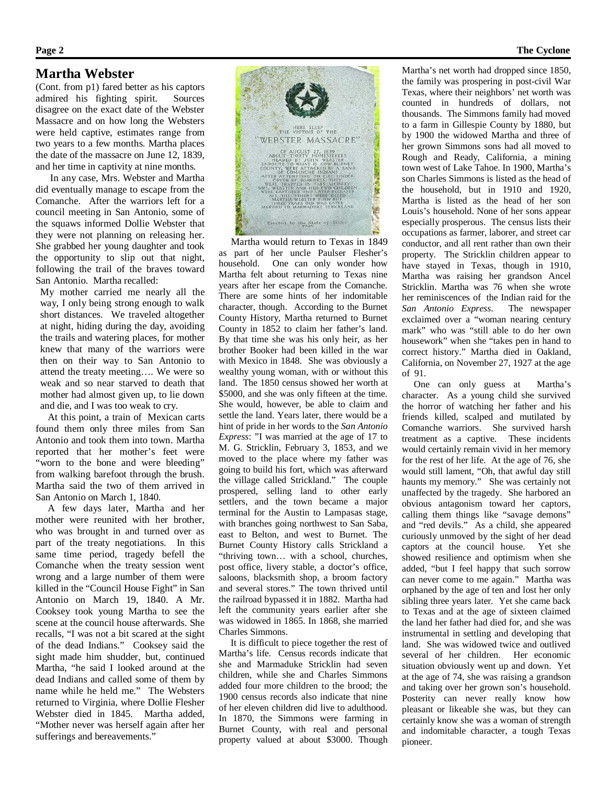### **Martha Webster**

(Cont. from p1) fared better as his captors admired his fighting spirit. Sources disagree on the exact date of the Webster Massacre and on how long the Websters were held captive, estimates range from two years to a few months. Martha places the date of the massacre on June 12, 1839, and her time in captivity at nine months.

 In any case, Mrs. Webster and Martha did eventually manage to escape from the Comanche. After the warriors left for a council meeting in San Antonio, some of the squaws informed Dollie Webster that they were not planning on releasing her. She grabbed her young daughter and took the opportunity to slip out that night, following the trail of the braves toward San Antonio. Martha recalled:

My mother carried me nearly all the way, I only being strong enough to walk short distances. We traveled altogether at night, hiding during the day, avoiding the trails and watering places, for mother knew that many of the warriors were then on their way to San Antonio to attend the treaty meeting…. We were so weak and so near starved to death that mother had almost given up, to lie down and die, and I was too weak to cry.

 At this point, a train of Mexican carts found them only three miles from San Antonio and took them into town. Martha reported that her mother's feet were "worn to the bone and were bleeding" from walking barefoot through the brush. Martha said the two of them arrived in San Antonio on March 1, 1840.

 A few days later, Martha and her mother were reunited with her brother, who was brought in and turned over as part of the treaty negotiations. In this same time period, tragedy befell the Comanche when the treaty session went wrong and a large number of them were killed in the "Council House Fight" in San Antonio on March 19, 1840. A Mr. Cooksey took young Martha to see the scene at the council house afterwards. She recalls, "I was not a bit scared at the sight of the dead Indians." Cooksey said the sight made him shudder, but, continued Martha, "he said I looked around at the dead Indians and called some of them by name while he held me." The Websters returned to Virginia, where Dollie Flesher Webster died in 1845. Martha added, "Mother never was herself again after her sufferings and bereavements."



 Martha would return to Texas in 1849 as part of her uncle Paulser Flesher's household. One can only wonder how Martha felt about returning to Texas nine years after her escape from the Comanche. There are some hints of her indomitable character, though. According to the Burnet County History, Martha returned to Burnet County in 1852 to claim her father's land. By that time she was his only heir, as her brother Booker had been killed in the war with Mexico in 1848. She was obviously a wealthy young woman, with or without this land. The 1850 census showed her worth at \$5000, and she was only fifteen at the time. She would, however, be able to claim and settle the land. Years later, there would be a hint of pride in her words to the *San Antonio Express*: "I was married at the age of 17 to M. G. Stricklin, February 3, 1853, and we moved to the place where my father was going to build his fort, which was afterward the village called Strickland." The couple prospered, selling land to other early settlers, and the town became a major terminal for the Austin to Lampasas stage, with branches going northwest to San Saba, east to Belton, and west to Burnet. The Burnet County History calls Strickland a "thriving town… with a school, churches, post office, livery stable, a doctor's office, saloons, blacksmith shop, a broom factory and several stores." The town thrived until the railroad bypassed it in 1882. Martha had left the community years earlier after she was widowed in 1865. In 1868, she married Charles Simmons.

 It is difficult to piece together the rest of Martha's life. Census records indicate that she and Marmaduke Stricklin had seven children, while she and Charles Simmons added four more children to the brood; the 1900 census records also indicate that nine of her eleven children did live to adulthood. In 1870, the Simmons were farming in Burnet County, with real and personal property valued at about \$3000. Though

Martha's net worth had dropped since 1850, the family was prospering in post-civil War Texas, where their neighbors' net worth was counted in hundreds of dollars, not thousands. The Simmons family had moved to a farm in Gillespie County by 1880, but by 1900 the widowed Martha and three of her grown Simmons sons had all moved to Rough and Ready, California, a mining town west of Lake Tahoe. In 1900, Martha's son Charles Simmons is listed as the head of the household, but in 1910 and 1920, Martha is listed as the head of her son Louis's household. None of her sons appear especially prosperous. The census lists their occupations as farmer, laborer, and street car conductor, and all rent rather than own their property. The Stricklin children appear to have stayed in Texas, though in 1910, Martha was raising her grandson Ancel Stricklin. Martha was 76 when she wrote her reminiscences of the Indian raid for the *San Antonio Express.* The newspaper exclaimed over a "woman nearing century mark" who was "still able to do her own housework" when she "takes pen in hand to correct history." Martha died in Oakland, California, on November 27, 1927 at the age of 91.

 One can only guess at Martha's character. As a young child she survived the horror of watching her father and his friends killed, scalped and mutilated by Comanche warriors. She survived harsh treatment as a captive. These incidents would certainly remain vivid in her memory for the rest of her life. At the age of 76, she would still lament, "Oh, that awful day still haunts my memory." She was certainly not unaffected by the tragedy. She harbored an obvious antagonism toward her captors, calling them things like "savage demons" and "red devils." As a child, she appeared curiously unmoved by the sight of her dead captors at the council house. Yet she showed resilience and optimism when she added, "but I feel happy that such sorrow can never come to me again." Martha was orphaned by the age of ten and lost her only sibling three years later. Yet she came back to Texas and at the age of sixteen claimed the land her father had died for, and she was instrumental in settling and developing that land. She was widowed twice and outlived several of her children. Her economic situation obviously went up and down. Yet at the age of 74, she was raising a grandson and taking over her grown son's household. Posterity can never really know how pleasant or likeable she was, but they can certainly know she was a woman of strength and indomitable character, a tough Texas pioneer.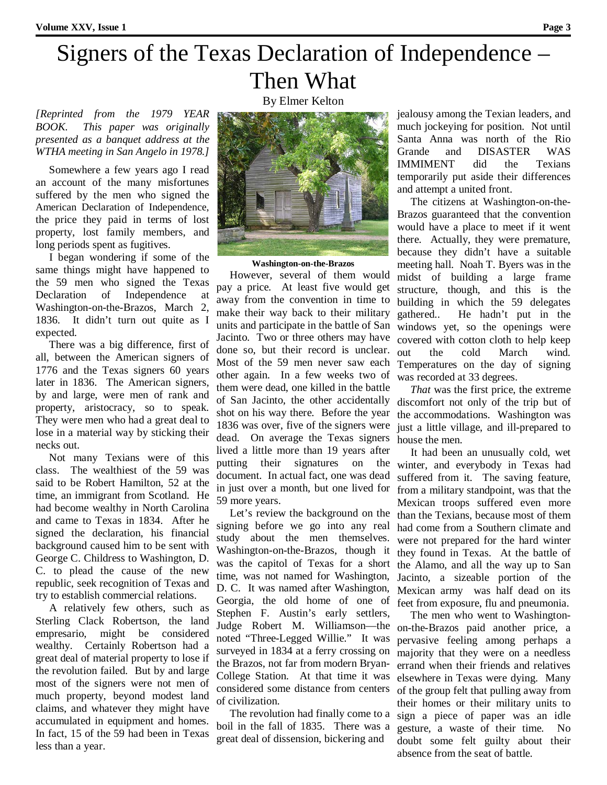## Signers of the Texas Declaration of Independence – Then What

*[Reprinted from the 1979 YEAR BOOK. This paper was originally presented as a banquet address at the WTHA meeting in San Angelo in 1978.]*

 Somewhere a few years ago I read an account of the many misfortunes suffered by the men who signed the American Declaration of Independence, the price they paid in terms of lost property, lost family members, and long periods spent as fugitives.

 I began wondering if some of the same things might have happened to the 59 men who signed the Texas Declaration of Independence at Washington-on-the-Brazos, March 2, 1836. It didn't turn out quite as I expected.

 There was a big difference, first of all, between the American signers of 1776 and the Texas signers 60 years later in 1836. The American signers, by and large, were men of rank and property, aristocracy, so to speak. They were men who had a great deal to lose in a material way by sticking their necks out.

 Not many Texians were of this class. The wealthiest of the 59 was said to be Robert Hamilton, 52 at the time, an immigrant from Scotland. He had become wealthy in North Carolina and came to Texas in 1834. After he signed the declaration, his financial background caused him to be sent with George C. Childress to Washington, D. C. to plead the cause of the new republic, seek recognition of Texas and try to establish commercial relations.

 A relatively few others, such as Sterling Clack Robertson, the land empresario, might be considered wealthy. Certainly Robertson had a great deal of material property to lose if the revolution failed. But by and large most of the signers were not men of much property, beyond modest land claims, and whatever they might have accumulated in equipment and homes. In fact, 15 of the 59 had been in Texas less than a year.



**Washington-on-the-Brazos**

 However, several of them would pay a price. At least five would get away from the convention in time to make their way back to their military units and participate in the battle of San Jacinto. Two or three others may have done so, but their record is unclear. Most of the 59 men never saw each other again. In a few weeks two of them were dead, one killed in the battle of San Jacinto, the other accidentally shot on his way there. Before the year 1836 was over, five of the signers were dead. On average the Texas signers lived a little more than 19 years after putting their signatures on the document. In actual fact, one was dead in just over a month, but one lived for 59 more years.

 Let's review the background on the signing before we go into any real study about the men themselves. Washington-on-the-Brazos, though it was the capitol of Texas for a short time, was not named for Washington, D. C. It was named after Washington, Georgia, the old home of one of Stephen F. Austin's early settlers, Judge Robert M. Williamson—the noted "Three-Legged Willie." It was surveyed in 1834 at a ferry crossing on the Brazos, not far from modern Bryan-College Station. At that time it was considered some distance from centers of civilization.

 The revolution had finally come to a boil in the fall of 1835. There was a great deal of dissension, bickering and

jealousy among the Texian leaders, and much jockeying for position. Not until Santa Anna was north of the Rio Grande and DISASTER WAS IMMIMENT did the Texians temporarily put aside their differences and attempt a united front.

 The citizens at Washington-on-the-Brazos guaranteed that the convention would have a place to meet if it went there. Actually, they were premature, because they didn't have a suitable meeting hall. Noah T. Byers was in the midst of building a large frame structure, though, and this is the building in which the 59 delegates gathered.. He hadn't put in the windows yet, so the openings were covered with cotton cloth to help keep out the cold March wind. Temperatures on the day of signing was recorded at 33 degrees.

 *That* was the first price, the extreme discomfort not only of the trip but of the accommodations. Washington was just a little village, and ill-prepared to house the men.

 It had been an unusually cold, wet winter, and everybody in Texas had suffered from it. The saving feature, from a military standpoint, was that the Mexican troops suffered even more than the Texians, because most of them had come from a Southern climate and were not prepared for the hard winter they found in Texas. At the battle of the Alamo, and all the way up to San Jacinto, a sizeable portion of the Mexican army was half dead on its feet from exposure, flu and pneumonia.

 The men who went to Washingtonon-the-Brazos paid another price, a pervasive feeling among perhaps a majority that they were on a needless errand when their friends and relatives elsewhere in Texas were dying. Many of the group felt that pulling away from their homes or their military units to sign a piece of paper was an idle gesture, a waste of their time. No doubt some felt guilty about their absence from the seat of battle.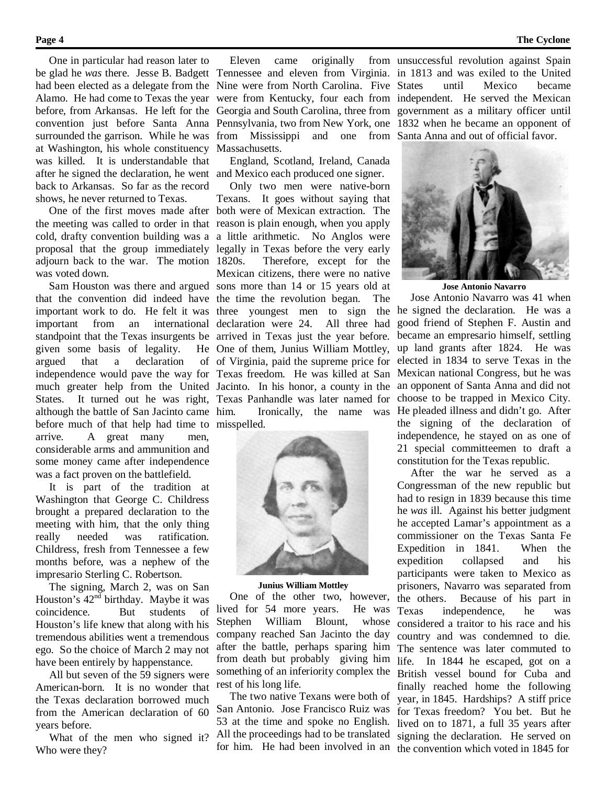One in particular had reason later to at Washington, his whole constituency Massachusetts. was killed. It is understandable that after he signed the declaration, he went and Mexico each produced one signer. back to Arkansas. So far as the record shows, he never returned to Texas.

adjourn back to the war. The motion 1820s. was voted down.

given some basis of legality. argued that a declaration although the battle of San Jacinto came before much of that help had time to misspelled. arrive. A great many men, considerable arms and ammunition and some money came after independence was a fact proven on the battlefield.

 It is part of the tradition at Washington that George C. Childress brought a prepared declaration to the meeting with him, that the only thing really needed was ratification. Childress, fresh from Tennessee a few months before, was a nephew of the impresario Sterling C. Robertson.

 The signing, March 2, was on San Houston's 42nd birthday. Maybe it was coincidence. But students of Houston's life knew that along with his tremendous abilities went a tremendous ego. So the choice of March 2 may not have been entirely by happenstance.

 All but seven of the 59 signers were American-born. It is no wonder that the Texas declaration borrowed much from the American declaration of 60 years before.

What of the men who signed it? Who were they?

had been elected as a delegate from the Nine were from North Carolina. Five surrounded the garrison. While he was from Mississippi and one from Santa Anna and out of official favor.

England, Scotland, Ireland, Canada

 One of the first moves made after both were of Mexican extraction. The the meeting was called to order in that reason is plain enough, when you apply cold, drafty convention building was a a little arithmetic. No Anglos were proposal that the group immediately legally in Texas before the very early Sam Houston was there and argued sons more than 14 or 15 years old at that the convention did indeed have the time the revolution began. The important work to do. He felt it was three youngest men to sign the important from an international declaration were 24. All three had standpoint that the Texas insurgents be arrived in Texas just the year before. independence would pave the way for Texas freedom. He was killed at San much greater help from the United Jacinto. In his honor, a county in the States. It turned out he was right, Texas Panhandle was later named for Only two men were native-born Texans. It goes without saying that Therefore, except for the Mexican citizens, there were no native He One of them, Junius William Mottley, of Virginia, paid the supreme price for Ironically, the name was



#### **Junius William Mottley**

 One of the other two, however, lived for 54 more years. He was Stephen William Blount, whose company reached San Jacinto the day after the battle, perhaps sparing him from death but probably giving him something of an inferiority complex the rest of his long life.

 The two native Texans were both of San Antonio. Jose Francisco Ruiz was 53 at the time and spoke no English. All the proceedings had to be translated for him. He had been involved in an the convention which voted in 1845 for

be glad he *was* there. Jesse B. Badgett Tennessee and eleven from Virginia. in 1813 and was exiled to the United Alamo. He had come to Texas the year were from Kentucky, four each from independent. He served the Mexican before, from Arkansas. He left for the Georgia and South Carolina, three from government as a military officer until convention just before Santa Anna Pennsylvania, two from New York, one 1832 when he became an opponent of Eleven came originally from unsuccessful revolution against Spain until Mexico became



**Jose Antonio Navarro**

 Jose Antonio Navarro was 41 when he signed the declaration. He was a good friend of Stephen F. Austin and became an empresario himself, settling up land grants after 1824. He was elected in 1834 to serve Texas in the Mexican national Congress, but he was an opponent of Santa Anna and did not choose to be trapped in Mexico City. He pleaded illness and didn't go. After the signing of the declaration of independence, he stayed on as one of 21 special committeemen to draft a constitution for the Texas republic.

 After the war he served as a Congressman of the new republic but had to resign in 1839 because this time he *was* ill. Against his better judgment he accepted Lamar's appointment as a commissioner on the Texas Santa Fe Expedition in 1841. When the expedition collapsed and his participants were taken to Mexico as prisoners, Navarro was separated from the others. Because of his part in Texas independence, he was considered a traitor to his race and his country and was condemned to die. The sentence was later commuted to life. In 1844 he escaped, got on a British vessel bound for Cuba and finally reached home the following year, in 1845. Hardships? A stiff price for Texas freedom? You bet. But he lived on to 1871, a full 35 years after signing the declaration. He served on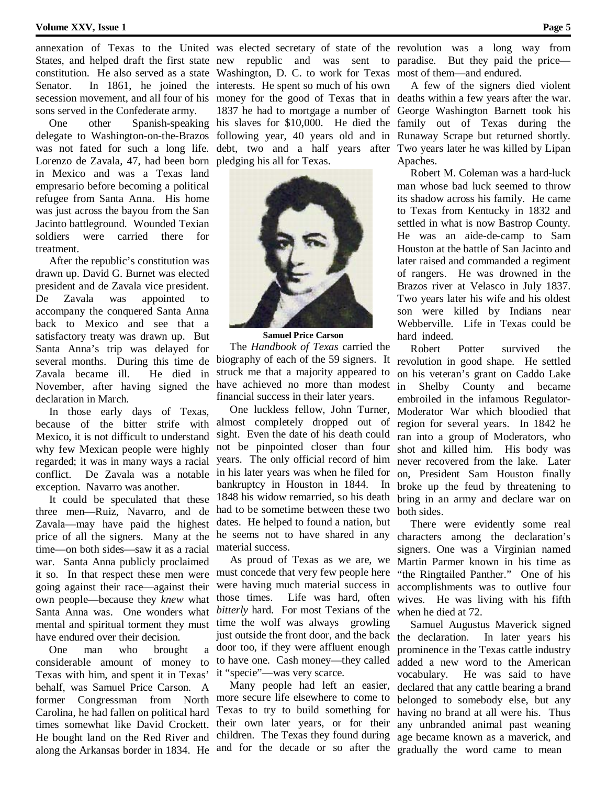#### **Volume XXV, Issue 1** Page 5

sons served in the Confederate army.

delegate to Washington-on-the-Brazos Lorenzo de Zavala, 47, had been born pledging his all for Texas. in Mexico and was a Texas land empresario before becoming a political refugee from Santa Anna. His home was just across the bayou from the San Jacinto battleground. Wounded Texian soldiers were carried there for treatment.

 After the republic's constitution was drawn up. David G. Burnet was elected president and de Zavala vice president. De Zavala was appointed to accompany the conquered Santa Anna back to Mexico and see that a satisfactory treaty was drawn up. But Santa Anna's trip was delayed for several months. During this time de Zavala became ill. He died in November, after having signed the declaration in March.

 In those early days of Texas, because of the bitter strife with Mexico, it is not difficult to understand why few Mexican people were highly regarded; it was in many ways a racial conflict. De Zavala was a notable exception. Navarro was another.

 It could be speculated that these three men—Ruiz, Navarro, and de Zavala—may have paid the highest price of all the signers. Many at the time—on both sides—saw it as a racial war. Santa Anna publicly proclaimed it so. In that respect these men were going against their race—against their own people—because they *knew* what Santa Anna was. One wonders what mental and spiritual torment they must have endured over their decision.

One man who brought considerable amount of money to Texas with him, and spent it in Texas' behalf, was Samuel Price Carson. A former Congressman from North Carolina, he had fallen on political hard times somewhat like David Crockett. He bought land on the Red River and along the Arkansas border in 1834. He and for the decade or so after the

States, and helped draft the first state new republic and was sent to paradise. But they paid the price constitution. He also served as a state Washington, D. C. to work for Texas most of them—and endured. Senator. In 1861, he joined the interests. He spent so much of his own secession movement, and all four of his money for the good of Texas that in deaths within a few years after the war. One other Spanish-speaking his slaves for \$10,000. He died the family out of Texas during the was not fated for such a long life. debt, two and a half years after Two years later he was killed by Lipan 1837 he had to mortgage a number of George Washington Barnett took his following year, 40 years old and in Runaway Scrape but returned shortly.



**Samuel Price Carson** The *Handbook of Texas* carried the biography of each of the 59 signers. It struck me that a majority appeared to have achieved no more than modest financial success in their later years.

 One luckless fellow, John Turner, almost completely dropped out of sight. Even the date of his death could not be pinpointed closer than four years. The only official record of him in his later years was when he filed for bankruptcy in Houston in 1844. In 1848 his widow remarried, so his death had to be sometime between these two dates. He helped to found a nation, but he seems not to have shared in any material success.

 As proud of Texas as we are, we must concede that very few people here were having much material success in those times. Life was hard, often *bitterly* hard. For most Texians of the time the wolf was always growling just outside the front door, and the back door too, if they were affluent enough to have one. Cash money—they called it "specie"—was very scarce.

 Many people had left an easier, more secure life elsewhere to come to Texas to try to build something for their own later years, or for their children. The Texas they found during

annexation of Texas to the United was elected secretary of state of the revolution was a long way from

 A few of the signers died violent Apaches.

 Robert M. Coleman was a hard-luck man whose bad luck seemed to throw its shadow across his family. He came to Texas from Kentucky in 1832 and settled in what is now Bastrop County. He was an aide-de-camp to Sam Houston at the battle of San Jacinto and later raised and commanded a regiment of rangers. He was drowned in the Brazos river at Velasco in July 1837. Two years later his wife and his oldest son were killed by Indians near Webberville. Life in Texas could be hard indeed.

 Robert Potter survived the revolution in good shape. He settled on his veteran's grant on Caddo Lake in Shelby County and became embroiled in the infamous Regulator-Moderator War which bloodied that region for several years. In 1842 he ran into a group of Moderators, who shot and killed him. His body was never recovered from the lake. Later on, President Sam Houston finally broke up the feud by threatening to bring in an army and declare war on both sides.

 There were evidently some real characters among the declaration's signers. One was a Virginian named Martin Parmer known in his time as "the Ringtailed Panther." One of his accomplishments was to outlive four wives. He was living with his fifth when he died at 72.

 Samuel Augustus Maverick signed the declaration. In later years his prominence in the Texas cattle industry added a new word to the American vocabulary. He was said to have declared that any cattle bearing a brand belonged to somebody else, but any having no brand at all were his. Thus any unbranded animal past weaning age became known as a maverick, and gradually the word came to mean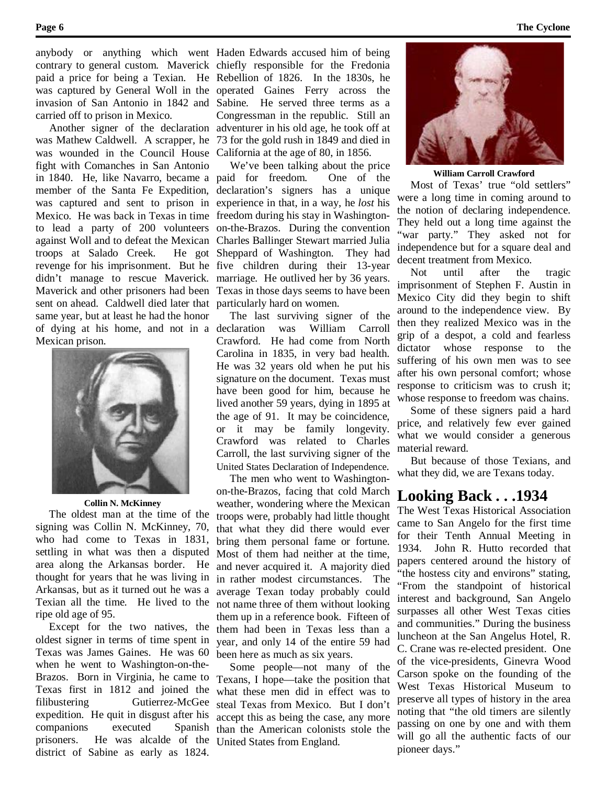carried off to prison in Mexico.

was wounded in the Council House California at the age of 80, in 1856. fight with Comanches in San Antonio Mexico. He was back in Texas in time freedom during his stay in Washingtontroops at Salado Creek. sent on ahead. Caldwell died later that particularly hard on women. same year, but at least he had the honor of dying at his home, and not in a declaration was William Carroll Mexican prison.



**Collin N. McKinney**

 The oldest man at the time of the signing was Collin N. McKinney, 70, who had come to Texas in 1831, settling in what was then a disputed area along the Arkansas border. He thought for years that he was living in Arkansas, but as it turned out he was a Texian all the time. He lived to the ripe old age of 95.

 Except for the two natives, the oldest signer in terms of time spent in Texas was James Gaines. He was 60 when he went to Washington-on-the-Brazos. Born in Virginia, he came to Texas first in 1812 and joined the filibustering Gutierrez-McGee expedition. He quit in disgust after his companions executed Spanish prisoners. He was alcalde of the United States from England. district of Sabine as early as 1824.

anybody or anything which went Haden Edwards accused him of being contrary to general custom. Maverick chiefly responsible for the Fredonia paid a price for being a Texian. He Rebellion of 1826. In the 1830s, he was captured by General Woll in the operated Gaines Ferry across the invasion of San Antonio in 1842 and Sabine. He served three terms as a Another signer of the declaration adventurer in his old age, he took off at was Mathew Caldwell. A scrapper, he 73 for the gold rush in 1849 and died in Congressman in the republic. Still an

in 1840. He, like Navarro, became a paid for freedom. One of the member of the Santa Fe Expedition, declaration's signers has a unique was captured and sent to prison in experience in that, in a way, he *lost* his to lead a party of 200 volunteers on-the-Brazos. During the convention against Woll and to defeat the Mexican Charles Ballinger Stewart married Julia revenge for his imprisonment. But he five children during their 13-year didn't manage to rescue Maverick. marriage. He outlived her by 36 years. Maverick and other prisoners had been Texas in those days seems to have been We've been talking about the price He got Sheppard of Washington. They had

> The last surviving signer of the Crawford. He had come from North Carolina in 1835, in very bad health. He was 32 years old when he put his signature on the document. Texas must have been good for him, because he lived another 59 years, dying in 1895 at the age of 91. It may be coincidence, or it may be family longevity. Crawford was related to Charles Carroll, the last surviving signer of the United States Declaration of Independence.

> The men who went to Washingtonon-the-Brazos, facing that cold March weather, wondering where the Mexican troops were, probably had little thought that what they did there would ever bring them personal fame or fortune. Most of them had neither at the time, and never acquired it. A majority died in rather modest circumstances. The average Texan today probably could not name three of them without looking them up in a reference book. Fifteen of them had been in Texas less than a year, and only 14 of the entire 59 had been here as much as six years.

> Some people—not many of the Texans, I hope—take the position that what these men did in effect was to steal Texas from Mexico. But I don't accept this as being the case, any more than the American colonists stole the



#### **William Carroll Crawford**

 Most of Texas' true "old settlers" were a long time in coming around to the notion of declaring independence. They held out a long time against the "war party." They asked not for independence but for a square deal and decent treatment from Mexico.

 Not until after the tragic imprisonment of Stephen F. Austin in Mexico City did they begin to shift around to the independence view. By then they realized Mexico was in the grip of a despot, a cold and fearless dictator whose response to the suffering of his own men was to see after his own personal comfort; whose response to criticism was to crush it; whose response to freedom was chains.

 Some of these signers paid a hard price, and relatively few ever gained what we would consider a generous material reward.

 But because of those Texians, and what they did, we are Texans today.

## **Looking Back . . .1934**

The West Texas Historical Association came to San Angelo for the first time for their Tenth Annual Meeting in 1934. John R. Hutto recorded that papers centered around the history of "the hostess city and environs" stating, "From the standpoint of historical interest and background, San Angelo surpasses all other West Texas cities and communities." During the business luncheon at the San Angelus Hotel, R. C. Crane was re-elected president. One of the vice-presidents, Ginevra Wood Carson spoke on the founding of the West Texas Historical Museum to preserve all types of history in the area noting that "the old timers are silently passing on one by one and with them will go all the authentic facts of our pioneer days."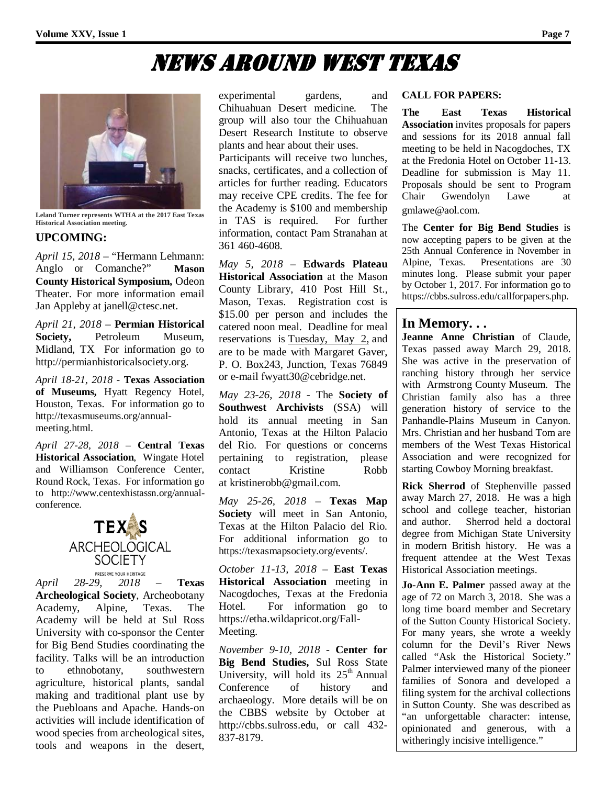## News Around West Texas



**Leland Turner represents WTHA at the 2017 East Texas Historical Association meeting.**

### **UPCOMING:**

*April 15, 2018* – "Hermann Lehmann: Anglo or Comanche?" **Mason County Historical Symposium,** Odeon Theater. For more information email Jan Appleby at janell@ctesc.net.

*April 21, 2018* – **Permian Historical Society,** Petroleum Museum, Midland, TX For information go to http://permianhistoricalsociety.org.

*April 18-21, 2018* - **Texas Association of Museums,** Hyatt Regency Hotel, Houston, Texas. For information go to http://texasmuseums.org/annualmeeting.html.

*April 27-28, 2018* – **Central Texas Historical Association**, Wingate Hotel and Williamson Conference Center, Round Rock, Texas. For information go to http://www.centexhistassn.org/annualconference.



*April 28-29, 2018* – **Texas Archeological Society**, Archeobotany Academy, Alpine, Texas. The Academy will be held at Sul Ross University with co-sponsor the Center for Big Bend Studies coordinating the facility. Talks will be an introduction to ethnobotany, southwestern agriculture, historical plants, sandal making and traditional plant use by the Puebloans and Apache. Hands-on activities will include identification of wood species from archeological sites, tools and weapons in the desert,

experimental gardens, and Chihuahuan Desert medicine. The group will also tour the Chihuahuan Desert Research Institute to observe plants and hear about their uses.

Participants will receive two lunches, snacks, certificates, and a collection of articles for further reading. Educators may receive CPE credits. The fee for the Academy is \$100 and membership in TAS is required. For further information, contact Pam Stranahan at 361 460-4608.

*May 5, 2018* – **Edwards Plateau Historical Association** at the Mason County Library, 410 Post Hill St., Mason, Texas. Registration cost is \$15.00 per person and includes the catered noon meal. Deadline for meal reservations is Tuesday, May 2, and are to be made with Margaret Gaver, P. O. Box243, Junction, Texas 76849 or e-mail fwyatt30@cebridge.net.

*May 23-26, 2018* - The **Society of Southwest Archivists** (SSA) will hold its annual meeting in San Antonio, Texas at the Hilton Palacio del Rio. For questions or concerns pertaining to registration, please<br>contact Kristine Robb contact Kristine at kristinerobb@gmail.com.

*May 25-26, 2018* – **Texas Map Society** will meet in San Antonio, Texas at the Hilton Palacio del Rio. For additional information go to https://texasmapsociety.org/events/.

*October 11-13, 2018* – **East Texas Historical Association** meeting in Nacogdoches, Texas at the Fredonia Hotel. For information go to https://etha.wildapricot.org/Fall-Meeting.

*November 9-10, 2018* - **Center for Big Bend Studies,** Sul Ross State University, will hold its  $25<sup>th</sup>$  Annual Conference of history and archaeology. More details will be on the CBBS website by October at http://cbbs.sulross.edu, or call 432- 837-8179.

#### **CALL FOR PAPERS:**

**The East Texas Historical Association** invites proposals for papers and sessions for its 2018 annual fall meeting to be held in Nacogdoches, TX at the Fredonia Hotel on October 11-13. Deadline for submission is May 11. Proposals should be sent to Program Chair Gwendolyn Lawe at gmlawe@aol.com.

The **Center for Big Bend Studies** is now accepting papers to be given at the 25th Annual Conference in November in Alpine, Texas. Presentations are 30 minutes long. Please submit your paper by October 1, 2017. For information go to https://cbbs.sulross.edu/callforpapers.php.

## **In Memory. . .**

**Jeanne Anne Christian** of Claude, Texas passed away March 29, 2018. She was active in the preservation of ranching history through her service with Armstrong County Museum. The Christian family also has a three generation history of service to the Panhandle-Plains Museum in Canyon. Mrs. Christian and her husband Tom are members of the West Texas Historical Association and were recognized for starting Cowboy Morning breakfast.

**Rick Sherrod** of Stephenville passed away March 27, 2018. He was a high school and college teacher, historian and author. Sherrod held a doctoral degree from Michigan State University in modern British history. He was a frequent attendee at the West Texas Historical Association meetings.

**Jo-Ann E. Palmer** passed away at the age of 72 on March 3, 2018. She was a long time board member and Secretary of the Sutton County Historical Society. For many years, she wrote a weekly column for the Devil's River News called "Ask the Historical Society." Palmer interviewed many of the pioneer families of Sonora and developed a filing system for the archival collections in Sutton County. She was described as "an unforgettable character: intense, opinionated and generous, with a witheringly incisive intelligence."